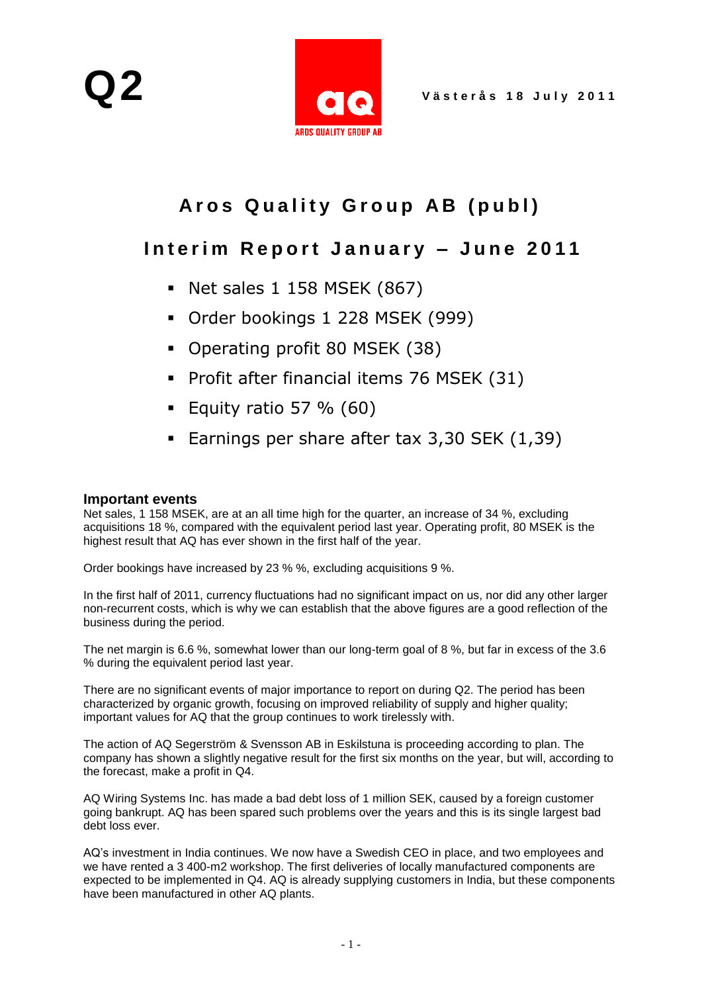

# Aros Quality Group AB (publ)

## Interim Report January - June 2011

- Net sales 1 158 MSEK (867)
- Order bookings 1 228 MSEK (999)
- Operating profit 80 MSEK (38)
- Profit after financial items 76 MSEK (31)
- Equity ratio 57 %  $(60)$
- Earnings per share after tax 3,30 SEK (1,39)

#### **Important events**

Net sales, 1 158 MSEK, are at an all time high for the quarter, an increase of 34 %, excluding acquisitions 18 %, compared with the equivalent period last year. Operating profit, 80 MSEK is the highest result that AQ has ever shown in the first half of the year.

Order bookings have increased by 23 % %, excluding acquisitions 9 %.

In the first half of 2011, currency fluctuations had no significant impact on us, nor did any other larger non-recurrent costs, which is why we can establish that the above figures are a good reflection of the business during the period.

The net margin is 6.6 %, somewhat lower than our long-term goal of 8 %, but far in excess of the 3.6 % during the equivalent period last year.

There are no significant events of major importance to report on during Q2. The period has been characterized by organic growth, focusing on improved reliability of supply and higher quality; important values for AQ that the group continues to work tirelessly with.

The action of AQ Segerström & Svensson AB in Eskilstuna is proceeding according to plan. The company has shown a slightly negative result for the first six months on the year, but will, according to the forecast, make a profit in Q4.

AQ Wiring Systems Inc. has made a bad debt loss of 1 million SEK, caused by a foreign customer going bankrupt. AQ has been spared such problems over the years and this is its single largest bad debt loss ever.

AQ's investment in India continues. We now have a Swedish CEO in place, and two employees and we have rented a 3 400-m2 workshop. The first deliveries of locally manufactured components are expected to be implemented in Q4. AQ is already supplying customers in India, but these components have been manufactured in other AQ plants.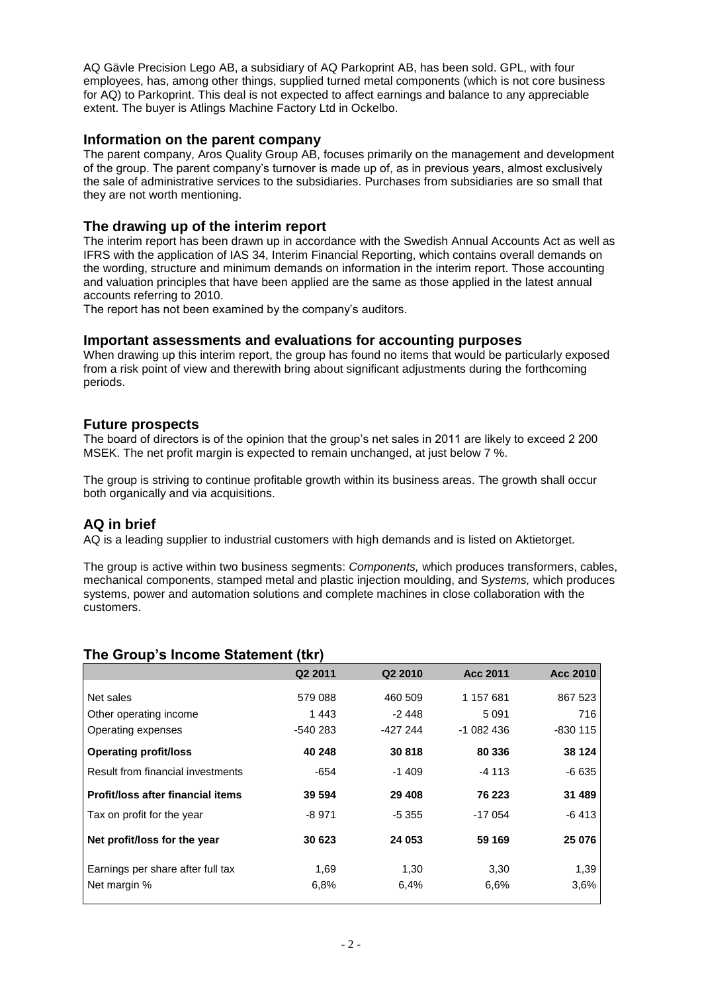AQ Gävle Precision Lego AB, a subsidiary of AQ Parkoprint AB, has been sold. GPL, with four employees, has, among other things, supplied turned metal components (which is not core business for AQ) to Parkoprint. This deal is not expected to affect earnings and balance to any appreciable extent. The buyer is Atlings Machine Factory Ltd in Ockelbo.

#### **Information on the parent company**

The parent company, Aros Quality Group AB, focuses primarily on the management and development of the group. The parent company's turnover is made up of, as in previous years, almost exclusively the sale of administrative services to the subsidiaries. Purchases from subsidiaries are so small that they are not worth mentioning.

#### **The drawing up of the interim report**

The interim report has been drawn up in accordance with the Swedish Annual Accounts Act as well as IFRS with the application of IAS 34, Interim Financial Reporting, which contains overall demands on the wording, structure and minimum demands on information in the interim report. Those accounting and valuation principles that have been applied are the same as those applied in the latest annual accounts referring to 2010.

The report has not been examined by the company's auditors.

#### **Important assessments and evaluations for accounting purposes**

When drawing up this interim report, the group has found no items that would be particularly exposed from a risk point of view and therewith bring about significant adjustments during the forthcoming periods.

#### **Future prospects**

The board of directors is of the opinion that the group's net sales in 2011 are likely to exceed 2 200 MSEK. The net profit margin is expected to remain unchanged, at just below 7 %.

The group is striving to continue profitable growth within its business areas. The growth shall occur both organically and via acquisitions.

#### **AQ in brief**

AQ is a leading supplier to industrial customers with high demands and is listed on Aktietorget.

The group is active within two business segments: *Components,* which produces transformers, cables, mechanical components, stamped metal and plastic injection moulding, and S*ystems,* which produces systems, power and automation solutions and complete machines in close collaboration with the customers.

|                                   | Q2 2011  | Q <sub>2</sub> 2010 | Acc 2011   | Acc 2010 |
|-----------------------------------|----------|---------------------|------------|----------|
|                                   |          |                     |            |          |
| Net sales                         | 579 088  | 460 509             | 1 157 681  | 867 523  |
| Other operating income            | 1443     | $-2448$             | 5 0 9 1    | 716      |
| Operating expenses                | -540 283 | -427 244            | $-1082436$ | -830 115 |
| <b>Operating profit/loss</b>      | 40 248   | 30818               | 80 336     | 38 124   |
| Result from financial investments | $-654$   | $-1409$             | -4 113     | $-6635$  |
| Profit/loss after financial items | 39 594   | 29 4 08             | 76 223     | 31 489   |
| Tax on profit for the year        | -8 971   | $-5355$             | $-17054$   | -6 413   |
| Net profit/loss for the year      | 30 623   | 24 053              | 59 169     | 25 076   |
| Earnings per share after full tax | 1,69     | 1,30                | 3,30       | 1,39     |
| Net margin %                      | 6.8%     | 6,4%                | 6.6%       | 3,6%     |

#### **The Group's Income Statement (tkr)**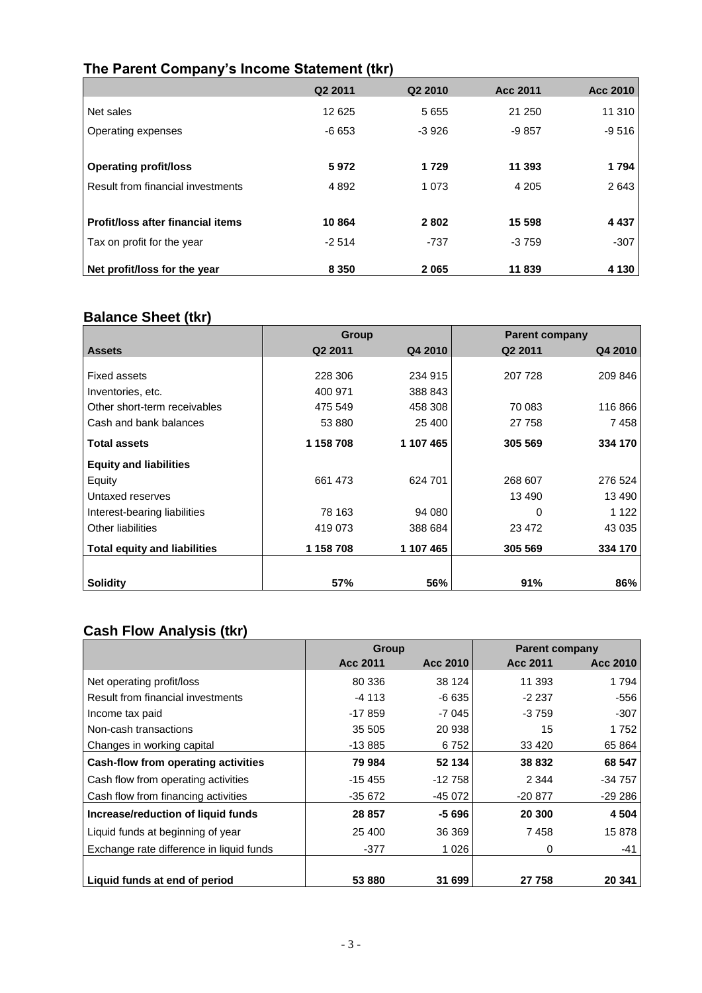### **The Parent Company's Income Statement (tkr)**

|                                   | Q <sub>2</sub> 2011 | Q <sub>2</sub> 2010 | Acc 2011 | <b>Acc 2010</b> |
|-----------------------------------|---------------------|---------------------|----------|-----------------|
| Net sales                         | 12 625              | 5655                | 21 250   | 11 310          |
| Operating expenses                | $-6653$             | $-3926$             | $-9857$  | $-9516$         |
|                                   |                     |                     |          |                 |
| <b>Operating profit/loss</b>      | 5972                | 1729                | 11 393   | 1794            |
| Result from financial investments | 4 8 9 2             | 1 0 7 3             | 4 2 0 5  | 2643            |
|                                   |                     |                     |          |                 |
| Profit/loss after financial items | 10864               | 2802                | 15 598   | 4 4 3 7         |
| Tax on profit for the year        | $-2514$             | $-737$              | $-3759$  | $-307$          |
| Net profit/loss for the year      | 8 3 5 0             | 2065                | 11839    | 4 1 3 0         |

#### **Balance Sheet (tkr)**

|                                     | Group               |           | <b>Parent company</b> |         |
|-------------------------------------|---------------------|-----------|-----------------------|---------|
| <b>Assets</b>                       | Q <sub>2</sub> 2011 | Q4 2010   | Q <sub>2</sub> 2011   | Q4 2010 |
|                                     |                     |           |                       |         |
| <b>Fixed assets</b>                 | 228 306             | 234 915   | 207 728               | 209 846 |
| Inventories, etc.                   | 400 971             | 388 843   |                       |         |
| Other short-term receivables        | 475 549             | 458 308   | 70 083                | 116 866 |
| Cash and bank balances              | 53 880              | 25 400    | 27 758                | 7458    |
| <b>Total assets</b>                 | 1 158 708           | 1 107 465 | 305 569               | 334 170 |
| <b>Equity and liabilities</b>       |                     |           |                       |         |
| Equity                              | 661 473             | 624 701   | 268 607               | 276 524 |
| Untaxed reserves                    |                     |           | 13 490                | 13 490  |
| Interest-bearing liabilities        | 78 163              | 94 080    | 0                     | 1 1 2 2 |
| <b>Other liabilities</b>            | 419 073             | 388 684   | 23 472                | 43 0 35 |
| <b>Total equity and liabilities</b> | 1 158 708           | 1 107 465 | 305 569               | 334 170 |
| <b>Solidity</b>                     | 57%                 | 56%       | 91%                   | 86%     |

## **Cash Flow Analysis (tkr)**

|                                          | <b>Group</b> |          | <b>Parent company</b> |          |
|------------------------------------------|--------------|----------|-----------------------|----------|
|                                          | Acc 2011     | Acc 2010 | Acc 2011              | Acc 2010 |
| Net operating profit/loss                | 80 336       | 38 1 24  | 11 393                | 1 7 9 4  |
| Result from financial investments        | $-4113$      | $-6635$  | $-2237$               | -556     |
| Income tax paid                          | $-17859$     | -7 045   | $-3759$               | -307     |
| Non-cash transactions                    | 35 505       | 20 938   | 15                    | 1752     |
| Changes in working capital               | $-13885$     | 6752     | 33 4 20               | 65 864   |
| Cash-flow from operating activities      | 79 984       | 52 134   | 38 832                | 68 547   |
| Cash flow from operating activities      | $-15455$     | $-12758$ | 2 3 4 4               | $-34757$ |
| Cash flow from financing activities      | $-35672$     | -45 072  | $-20.877$             | $-29286$ |
| Increase/reduction of liquid funds       | 28 857       | $-5696$  | 20 300                | 4 5 0 4  |
| Liquid funds at beginning of year        | 25 400       | 36 369   | 7458                  | 15878    |
| Exchange rate difference in liquid funds | -377         | 1026     | 0                     | -41      |
|                                          |              |          |                       |          |
| Liquid funds at end of period            | 53 880       | 31 699   | 27 758                | 20 341   |